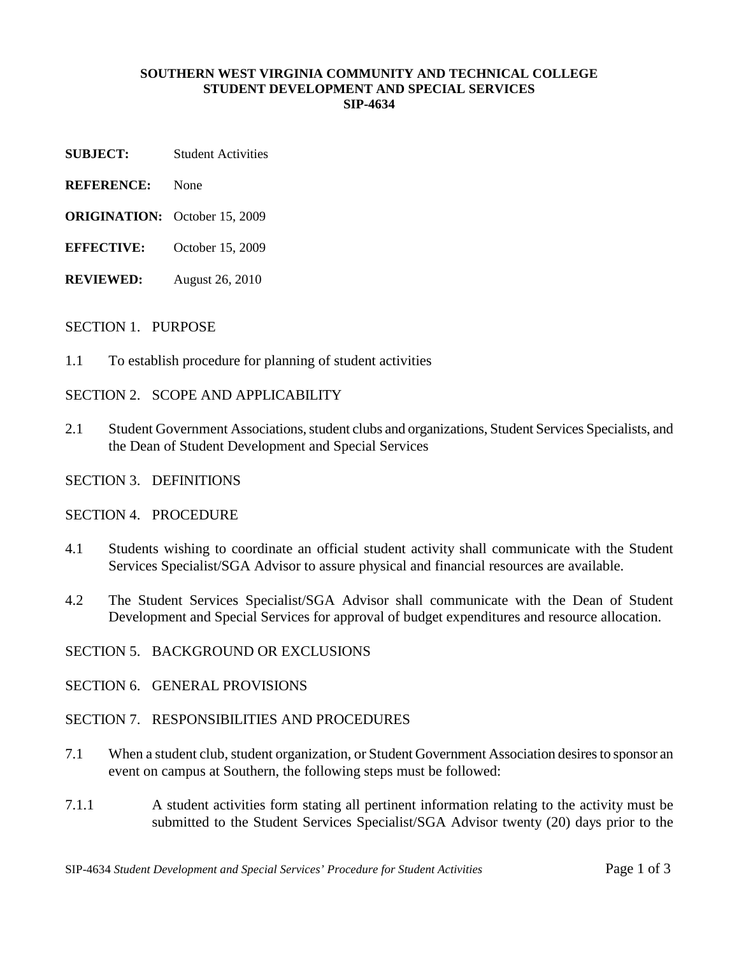#### **SOUTHERN WEST VIRGINIA COMMUNITY AND TECHNICAL COLLEGE STUDENT DEVELOPMENT AND SPECIAL SERVICES SIP-4634**

- **SUBJECT:** Student Activities
- **REFERENCE:** None
- **ORIGINATION:** October 15, 2009
- **EFFECTIVE:** October 15, 2009
- **REVIEWED:** August 26, 2010

#### SECTION 1. PURPOSE

1.1 To establish procedure for planning of student activities

SECTION 2. SCOPE AND APPLICABILITY

- 2.1 Student Government Associations, student clubs and organizations, Student Services Specialists, and the Dean of Student Development and Special Services
- SECTION 3. DEFINITIONS

SECTION 4. PROCEDURE

- 4.1 Students wishing to coordinate an official student activity shall communicate with the Student Services Specialist/SGA Advisor to assure physical and financial resources are available.
- 4.2 The Student Services Specialist/SGA Advisor shall communicate with the Dean of Student Development and Special Services for approval of budget expenditures and resource allocation.

SECTION 5. BACKGROUND OR EXCLUSIONS

SECTION 6. GENERAL PROVISIONS

## SECTION 7. RESPONSIBILITIES AND PROCEDURES

- 7.1 When a student club, student organization, or Student Government Association desires to sponsor an event on campus at Southern, the following steps must be followed:
- 7.1.1 A student activities form stating all pertinent information relating to the activity must be submitted to the Student Services Specialist/SGA Advisor twenty (20) days prior to the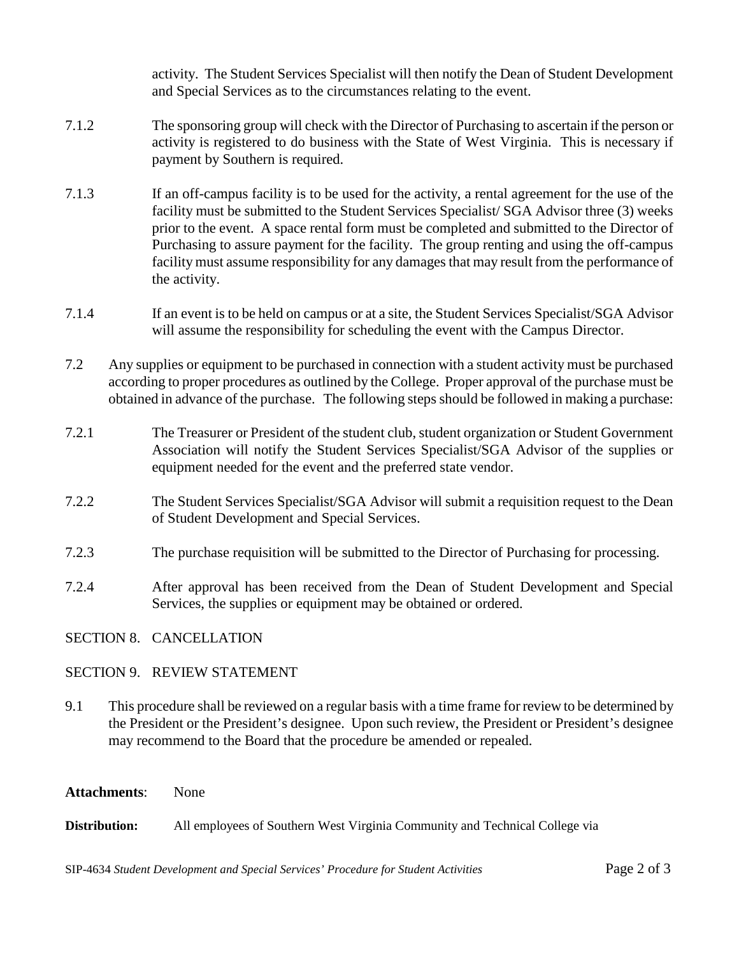activity. The Student Services Specialist will then notify the Dean of Student Development and Special Services as to the circumstances relating to the event.

- 7.1.2 The sponsoring group will check with the Director of Purchasing to ascertain if the person or activity is registered to do business with the State of West Virginia. This is necessary if payment by Southern is required.
- 7.1.3 If an off-campus facility is to be used for the activity, a rental agreement for the use of the facility must be submitted to the Student Services Specialist/ SGA Advisor three (3) weeks prior to the event. A space rental form must be completed and submitted to the Director of Purchasing to assure payment for the facility. The group renting and using the off-campus facility must assume responsibility for any damages that may result from the performance of the activity.
- 7.1.4 If an event is to be held on campus or at a site, the Student Services Specialist/SGA Advisor will assume the responsibility for scheduling the event with the Campus Director.
- 7.2 Any supplies or equipment to be purchased in connection with a student activity must be purchased according to proper procedures as outlined by the College. Proper approval of the purchase must be obtained in advance of the purchase. The following steps should be followed in making a purchase:
- 7.2.1 The Treasurer or President of the student club, student organization or Student Government Association will notify the Student Services Specialist/SGA Advisor of the supplies or equipment needed for the event and the preferred state vendor.
- 7.2.2 The Student Services Specialist/SGA Advisor will submit a requisition request to the Dean of Student Development and Special Services.
- 7.2.3 The purchase requisition will be submitted to the Director of Purchasing for processing.
- 7.2.4 After approval has been received from the Dean of Student Development and Special Services, the supplies or equipment may be obtained or ordered.

SECTION 8. CANCELLATION

# SECTION 9. REVIEW STATEMENT

9.1 This procedure shall be reviewed on a regular basis with a time frame for review to be determined by the President or the President's designee. Upon such review, the President or President's designee may recommend to the Board that the procedure be amended or repealed.

### **Attachments**: None

**Distribution:** All employees of Southern West Virginia Community and Technical College via